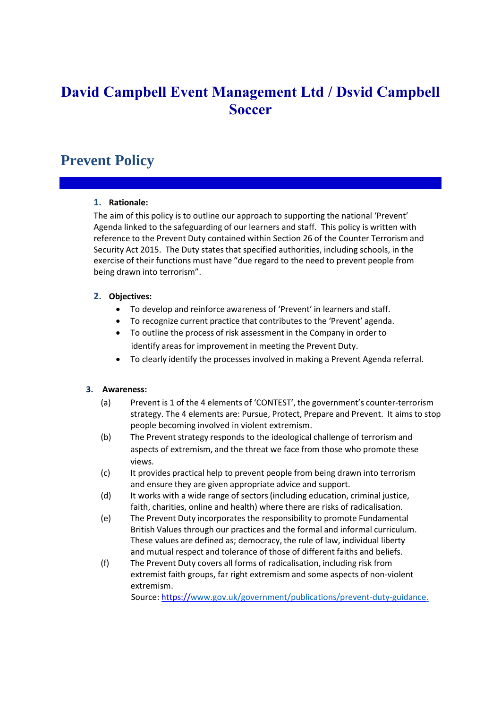# **David Campbell Event Management Ltd / Dsvid Campbell Soccer**

## **Prevent Policy**

#### **1. Rationale:**

The aim of this policy is to outline our approach to supporting the national 'Prevent' Agenda linked to the safeguarding of our learners and staff. This policy is written with reference to the Prevent Duty contained within Section 26 of the Counter Terrorism and Security Act 2015. The Duty states that specified authorities, including schools, in the exercise of their functions must have "due regard to the need to prevent people from being drawn into terrorism".

## **2. Objectives:**

- To develop and reinforce awareness of 'Prevent' in learners and staff.
- To recognize current practice that contributes to the 'Prevent' agenda.
- To outline the process of risk assessment in the Company in order to identify areas for improvement in meeting the Prevent Duty.
- To clearly identify the processes involved in making a Prevent Agenda referral.

#### **3. Awareness:**

- (a) Prevent is 1 of the 4 elements of 'CONTEST', the government's counter-terrorism strategy. The 4 elements are: Pursue, Protect, Prepare and Prevent. It aims to stop people becoming involved in violent extremism.
- (b) The Prevent strategy responds to the ideological challenge of terrorism and aspects of extremism, and the threat we face from those who promote these views.
- (c) It provides practical help to prevent people from being drawn into terrorism and ensure they are given appropriate advice and support.
- (d) It works with a wide range of sectors(including education, criminal justice, faith, charities, online and health) where there are risks of radicalisation.
- (e) The Prevent Duty incorporatesthe responsibility to promote Fundamental British Values through our practices and the formal and informal curriculum. These values are defined as; democracy, the rule of law, individual liberty and mutual respect and tolerance of those of different faiths and beliefs.
- (f) The Prevent Duty covers all forms of radicalisation, including risk from extremist faith groups, far right extremism and some aspects of non-violent extremism.

Source: https:/[/www.gov.uk/government/publications/prevent-duty-guidance.](http://www.gov.uk/government/publications/prevent-duty-guidance.)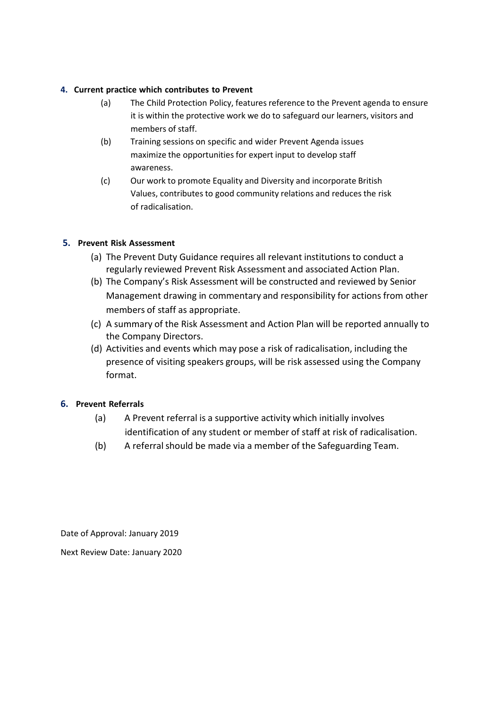### **4. Current practice which contributes to Prevent**

- (a) The Child Protection Policy, features reference to the Prevent agenda to ensure it is within the protective work we do to safeguard our learners, visitors and members of staff.
- (b) Training sessions on specific and wider Prevent Agenda issues maximize the opportunities for expert input to develop staff awareness.
- (c) Our work to promote Equality and Diversity and incorporate British Values, contributes to good community relations and reduces the risk of radicalisation.

## **5. Prevent Risk Assessment**

- (a) The Prevent Duty Guidance requires all relevant institutions to conduct a regularly reviewed Prevent Risk Assessment and associated Action Plan.
- (b) The Company's Risk Assessment will be constructed and reviewed by Senior Management drawing in commentary and responsibility for actions from other members of staff as appropriate.
- (c) A summary of the Risk Assessment and Action Plan will be reported annually to the Company Directors.
- (d) Activities and events which may pose a risk of radicalisation, including the presence of visiting speakers groups, will be risk assessed using the Company format.

## **6. Prevent Referrals**

- (a) A Prevent referral is a supportive activity which initially involves identification of any student or member of staff at risk of radicalisation.
- (b) A referral should be made via a member of the Safeguarding Team.

Date of Approval: January 2019

Next Review Date: January 2020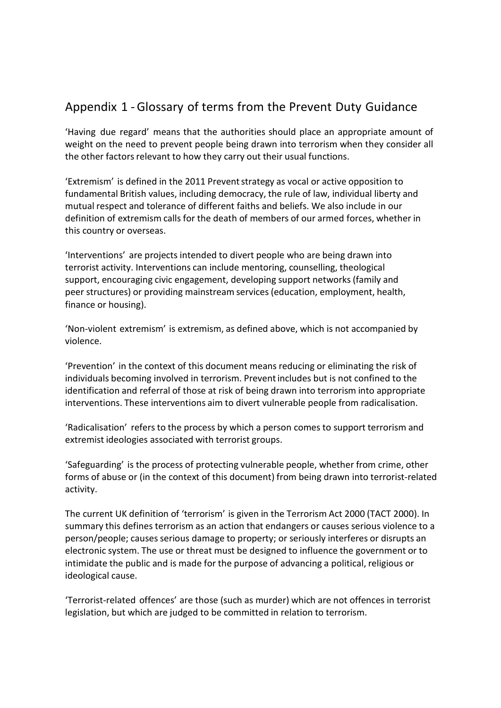## Appendix 1 -Glossary of terms from the Prevent Duty Guidance

'Having due regard' means that the authorities should place an appropriate amount of weight on the need to prevent people being drawn into terrorism when they consider all the other factors relevant to how they carry out their usual functions.

'Extremism' is defined in the 2011 Preventstrategy as vocal or active opposition to fundamental British values, including democracy, the rule of law, individual liberty and mutual respect and tolerance of different faiths and beliefs. We also include in our definition of extremism calls for the death of members of our armed forces, whether in this country or overseas.

'Interventions' are projects intended to divert people who are being drawn into terrorist activity. Interventions can include mentoring, counselling, theological support, encouraging civic engagement, developing support networks (family and peer structures) or providing mainstream services (education, employment, health, finance or housing).

'Non-violent extremism' is extremism, as defined above, which is not accompanied by violence.

'Prevention' in the context of this document means reducing or eliminating the risk of individuals becoming involved in terrorism. Preventincludes but is not confined to the identification and referral of those at risk of being drawn into terrorism into appropriate interventions. These interventions aim to divert vulnerable people from radicalisation.

'Radicalisation' refers to the process by which a person comes to support terrorism and extremist ideologies associated with terrorist groups.

'Safeguarding' is the process of protecting vulnerable people, whether from crime, other forms of abuse or (in the context of this document) from being drawn into terrorist-related activity.

The current UK definition of 'terrorism' is given in the Terrorism Act 2000 (TACT 2000). In summary this defines terrorism as an action that endangers or causes serious violence to a person/people; causes serious damage to property; or seriously interferes or disrupts an electronic system. The use or threat must be designed to influence the government or to intimidate the public and is made for the purpose of advancing a political, religious or ideological cause.

'Terrorist-related offences' are those (such as murder) which are not offences in terrorist legislation, but which are judged to be committed in relation to terrorism.